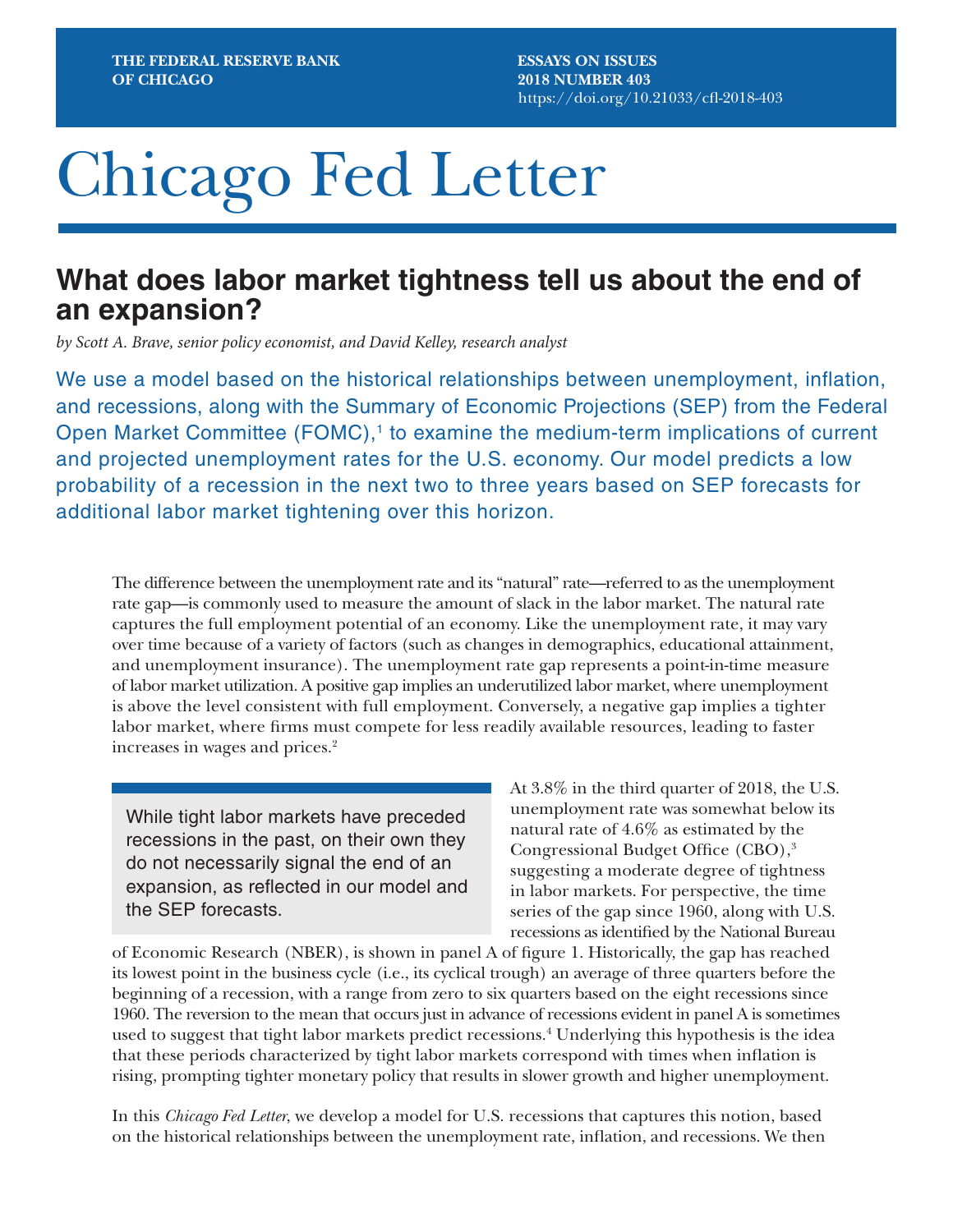# Chicago Fed Letter

# **What does labor market tightness tell us about the end of an expansion?**

*by Scott A. Brave, senior policy economist, and David Kelley, research analyst*

We use a model based on the historical relationships between unemployment, inflation, and recessions, along with the Summary of Economic Projections (SEP) from the Federal Open Market Committee (FOMC),<sup>1</sup> to examine the medium-term implications of current and projected unemployment rates for the U.S. economy. Our model predicts a low probability of a recession in the next two to three years based on SEP forecasts for additional labor market tightening over this horizon.

The difference between the unemployment rate and its "natural" rate—referred to as the unemployment rate gap—is commonly used to measure the amount of slack in the labor market. The natural rate captures the full employment potential of an economy. Like the unemployment rate, it may vary over time because of a variety of factors (such as changes in demographics, educational attainment, and unemployment insurance). The unemployment rate gap represents a point-in-time measure of labor market utilization. A positive gap implies an underutilized labor market, where unemployment is above the level consistent with full employment. Conversely, a negative gap implies a tighter labor market, where firms must compete for less readily available resources, leading to faster increases in wages and prices.2

While tight labor markets have preceded recessions in the past, on their own they do not necessarily signal the end of an expansion, as reflected in our model and the SEP forecasts.

At 3.8% in the third quarter of 2018, the U.S. unemployment rate was somewhat below its natural rate of 4.6% as estimated by the Congressional Budget Office (CBO),<sup>3</sup> suggesting a moderate degree of tightness in labor markets. For perspective, the time series of the gap since 1960, along with U.S. recessions as identified by the National Bureau

of Economic Research (NBER), is shown in panel A of figure 1. Historically, the gap has reached its lowest point in the business cycle (i.e., its cyclical trough) an average of three quarters before the beginning of a recession, with a range from zero to six quarters based on the eight recessions since 1960. The reversion to the mean that occurs just in advance of recessions evident in panel A is sometimes used to suggest that tight labor markets predict recessions.<sup>4</sup> Underlying this hypothesis is the idea that these periods characterized by tight labor markets correspond with times when inflation is rising, prompting tighter monetary policy that results in slower growth and higher unemployment.

In this *Chicago Fed Letter*, we develop a model for U.S. recessions that captures this notion, based on the historical relationships between the unemployment rate, inflation, and recessions. We then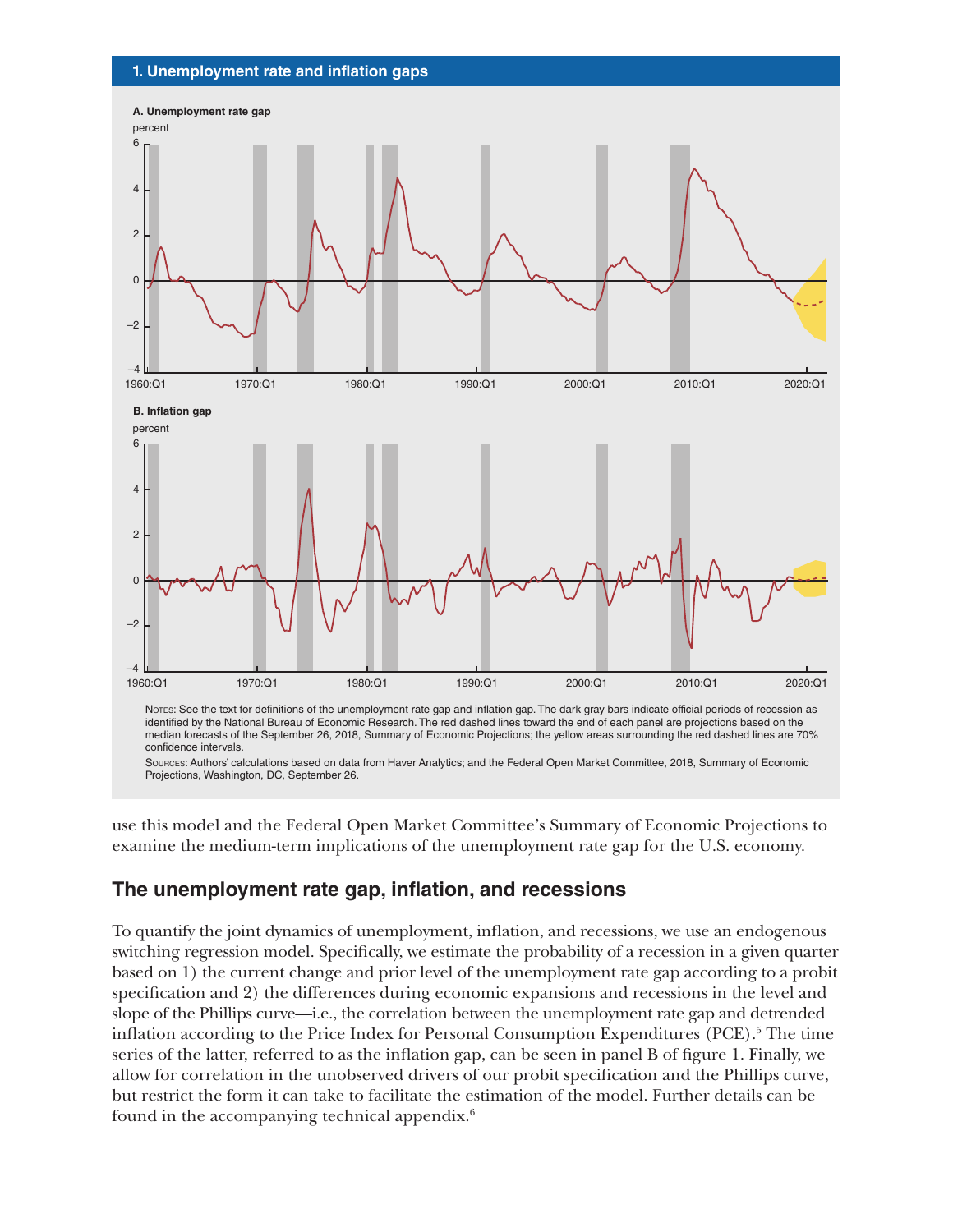#### **1. Unemployment rate and inflation gaps**



Notes: See the text for definitions of the unemployment rate gap and inflation gap. The dark gray bars indicate official periods of recession as identified by the National Bureau of Economic Research. The red dashed lines toward the end of each panel are projections based on the median forecasts of the September 26, 2018, Summary of Economic Projections; the yellow areas surrounding the red dashed lines are 70% confidence intervals.

Sources: Authors' calculations based on data from Haver Analytics; and the Federal Open Market Committee, 2018, Summary of Economic Projections, Washington, DC, September 26.

use this model and the Federal Open Market Committee's Summary of Economic Projections to examine the medium-term implications of the unemployment rate gap for the U.S. economy.

### **The unemployment rate gap, inflation, and recessions**

To quantify the joint dynamics of unemployment, inflation, and recessions, we use an endogenous switching regression model. Specifically, we estimate the probability of a recession in a given quarter based on 1) the current change and prior level of the unemployment rate gap according to a probit specification and 2) the differences during economic expansions and recessions in the level and slope of the Phillips curve—i.e., the correlation between the unemployment rate gap and detrended inflation according to the Price Index for Personal Consumption Expenditures (PCE).<sup>5</sup> The time series of the latter, referred to as the inflation gap, can be seen in panel B of figure 1. Finally, we allow for correlation in the unobserved drivers of our probit specification and the Phillips curve, but restrict the form it can take to facilitate the estimation of the model. Further details can be found in the accompanying technical appendix.6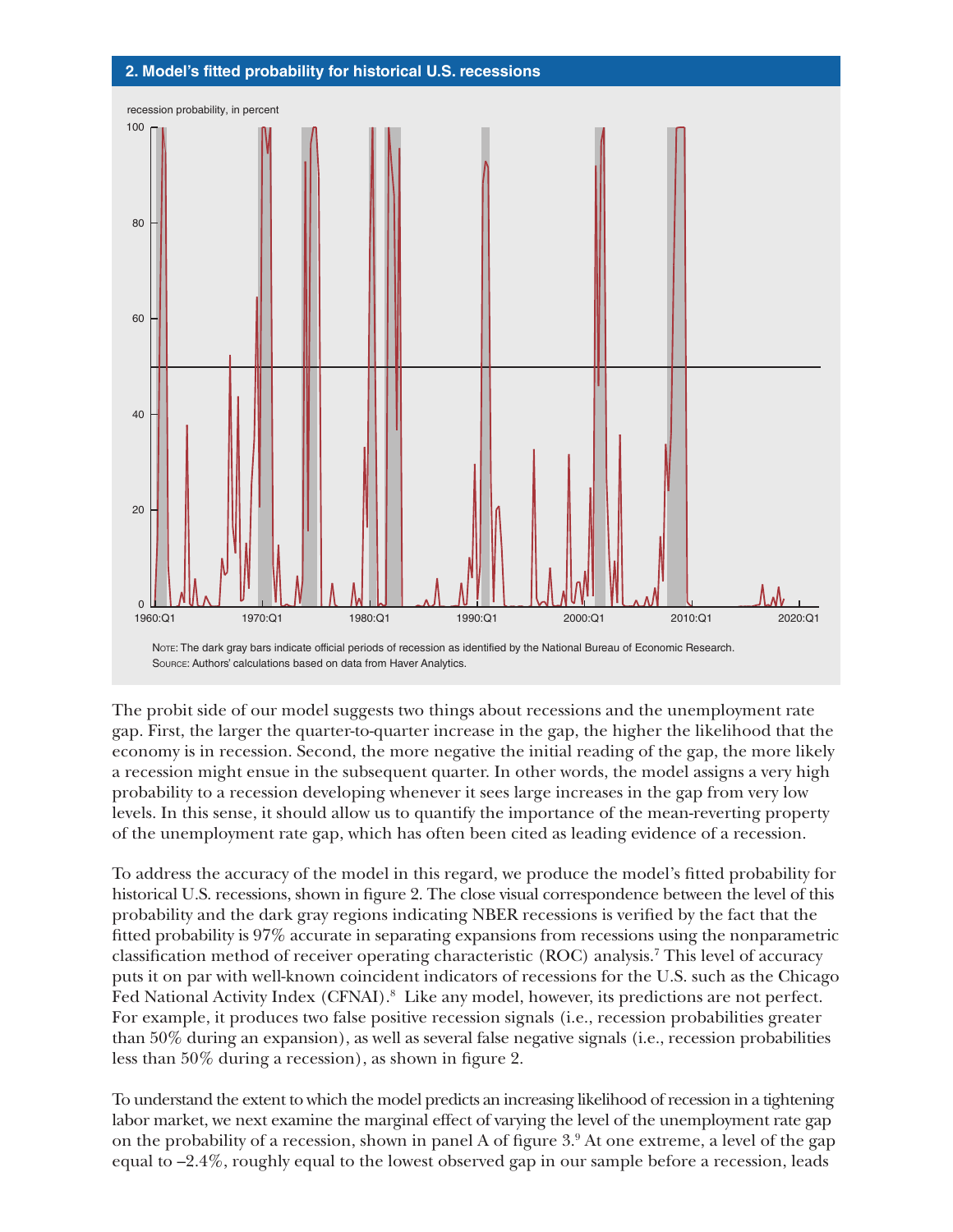

The probit side of our model suggests two things about recessions and the unemployment rate gap. First, the larger the quarter-to-quarter increase in the gap, the higher the likelihood that the economy is in recession. Second, the more negative the initial reading of the gap, the more likely a recession might ensue in the subsequent quarter. In other words, the model assigns a very high probability to a recession developing whenever it sees large increases in the gap from very low levels. In this sense, it should allow us to quantify the importance of the mean-reverting property

of the unemployment rate gap, which has often been cited as leading evidence of a recession.

To address the accuracy of the model in this regard, we produce the model's fitted probability for historical U.S. recessions, shown in figure 2. The close visual correspondence between the level of this probability and the dark gray regions indicating NBER recessions is verified by the fact that the fitted probability is 97% accurate in separating expansions from recessions using the nonparametric classification method of receiver operating characteristic (ROC) analysis.7 This level of accuracy puts it on par with well-known coincident indicators of recessions for the U.S. such as the Chicago Fed National Activity Index (CFNAI).<sup>8</sup> Like any model, however, its predictions are not perfect. For example, it produces two false positive recession signals (i.e., recession probabilities greater than 50% during an expansion), as well as several false negative signals (i.e., recession probabilities less than 50% during a recession), as shown in figure 2.

To understand the extent to which the model predicts an increasing likelihood of recession in a tightening labor market, we next examine the marginal effect of varying the level of the unemployment rate gap on the probability of a recession, shown in panel A of figure 3.9 At one extreme, a level of the gap equal to –2.4%, roughly equal to the lowest observed gap in our sample before a recession, leads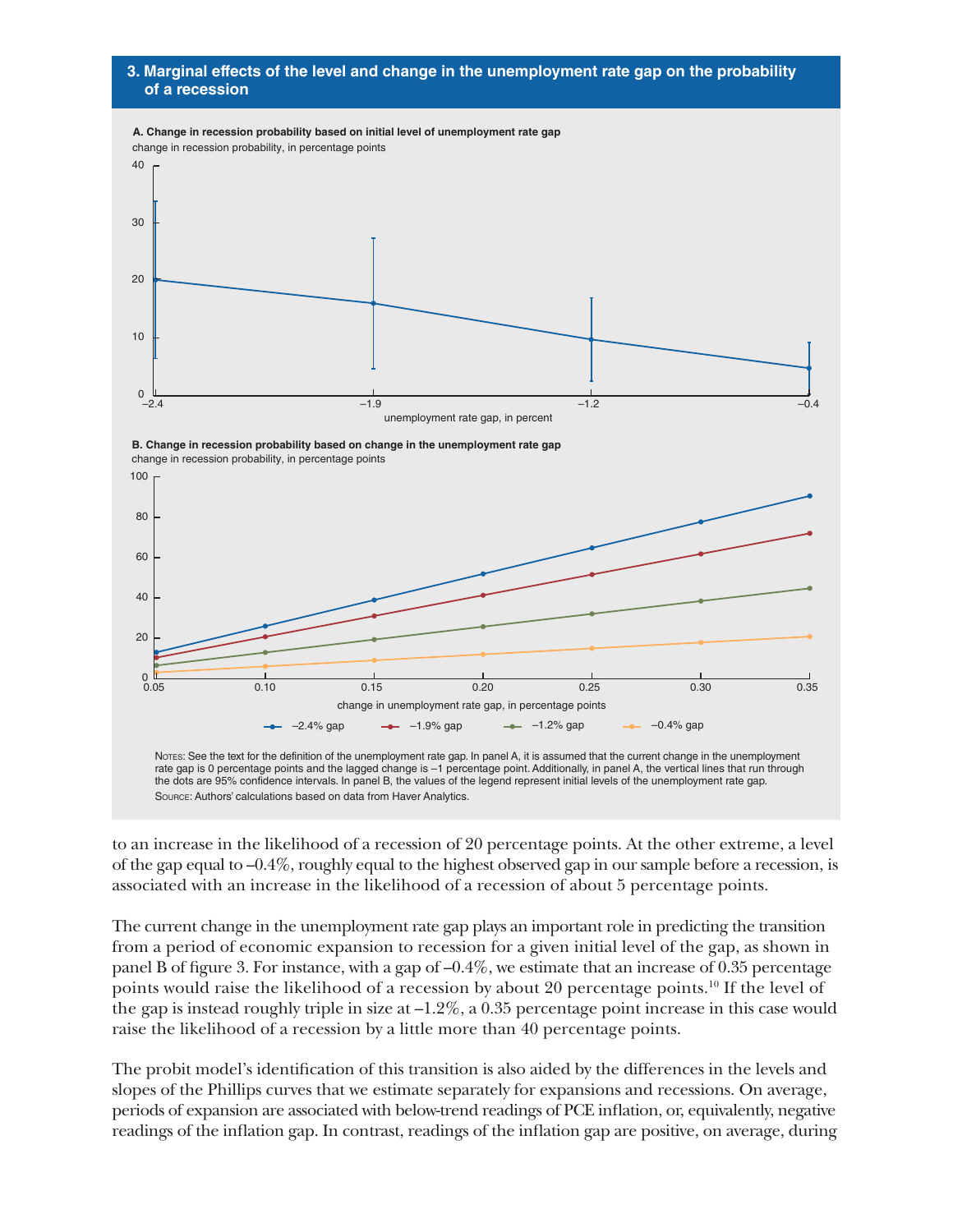#### **3. Marginal effects of the level and change in the unemployment rate gap on the probability of a recession**



to an increase in the likelihood of a recession of 20 percentage points. At the other extreme, a level of the gap equal to –0.4%, roughly equal to the highest observed gap in our sample before a recession, is associated with an increase in the likelihood of a recession of about 5 percentage points.

The current change in the unemployment rate gap plays an important role in predicting the transition from a period of economic expansion to recession for a given initial level of the gap, as shown in panel B of figure 3. For instance, with a gap of –0.4%, we estimate that an increase of 0.35 percentage points would raise the likelihood of a recession by about 20 percentage points.<sup>10</sup> If the level of the gap is instead roughly triple in size at  $-1.2\%$ , a 0.35 percentage point increase in this case would raise the likelihood of a recession by a little more than 40 percentage points.

The probit model's identification of this transition is also aided by the differences in the levels and slopes of the Phillips curves that we estimate separately for expansions and recessions. On average, periods of expansion are associated with below-trend readings of PCE inflation, or, equivalently, negative readings of the inflation gap. In contrast, readings of the inflation gap are positive, on average, during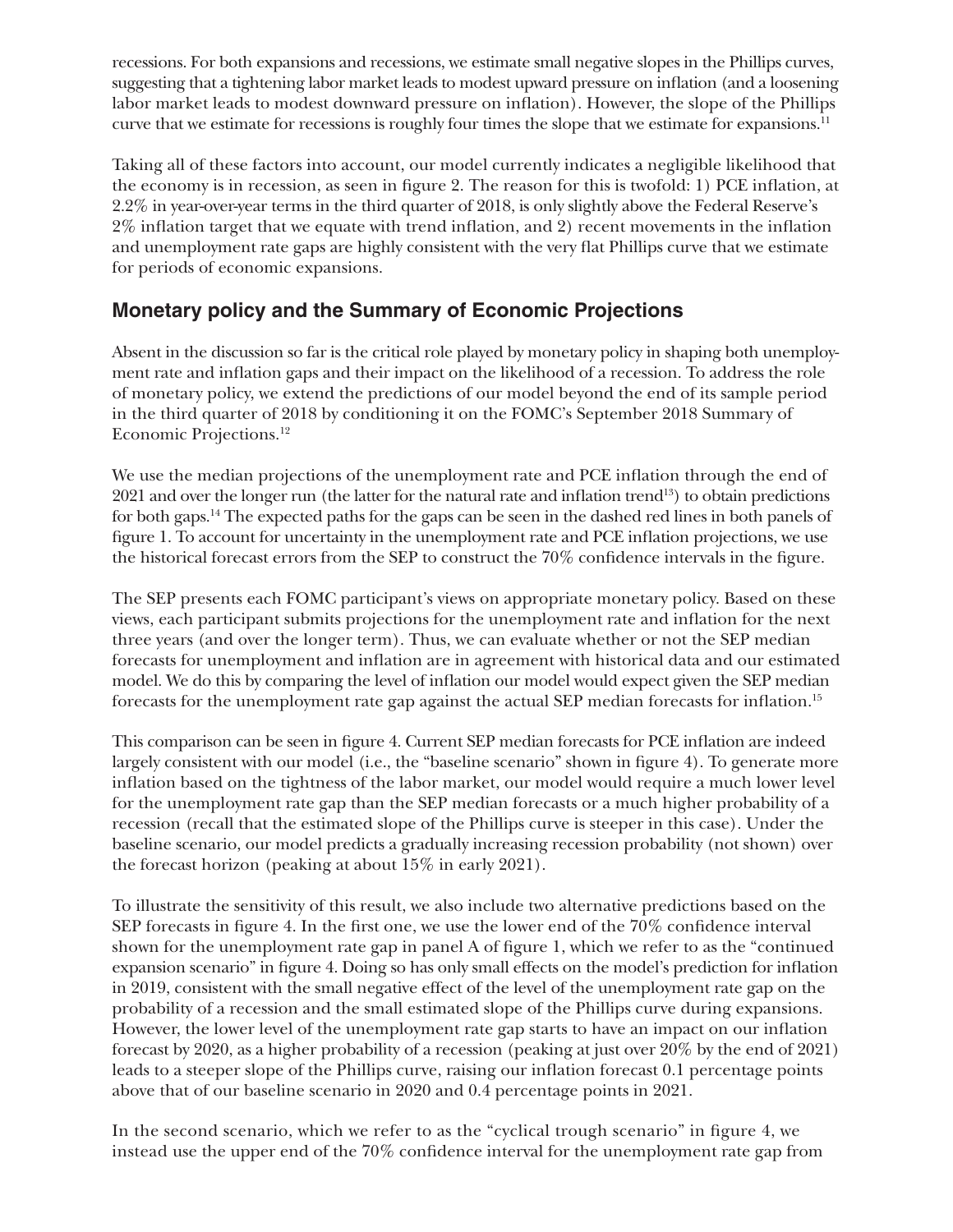recessions. For both expansions and recessions, we estimate small negative slopes in the Phillips curves, suggesting that a tightening labor market leads to modest upward pressure on inflation (and a loosening labor market leads to modest downward pressure on inflation). However, the slope of the Phillips curve that we estimate for recessions is roughly four times the slope that we estimate for expansions.<sup>11</sup>

Taking all of these factors into account, our model currently indicates a negligible likelihood that the economy is in recession, as seen in figure 2. The reason for this is twofold: 1) PCE inflation, at 2.2% in year-over-year terms in the third quarter of 2018, is only slightly above the Federal Reserve's 2% inflation target that we equate with trend inflation, and 2) recent movements in the inflation and unemployment rate gaps are highly consistent with the very flat Phillips curve that we estimate for periods of economic expansions.

# **Monetary policy and the Summary of Economic Projections**

Absent in the discussion so far is the critical role played by monetary policy in shaping both unemployment rate and inflation gaps and their impact on the likelihood of a recession. To address the role of monetary policy, we extend the predictions of our model beyond the end of its sample period in the third quarter of 2018 by conditioning it on the FOMC's September 2018 Summary of Economic Projections.12

We use the median projections of the unemployment rate and PCE inflation through the end of 2021 and over the longer run (the latter for the natural rate and inflation trend13) to obtain predictions for both gaps.14 The expected paths for the gaps can be seen in the dashed red lines in both panels of figure 1. To account for uncertainty in the unemployment rate and PCE inflation projections, we use the historical forecast errors from the SEP to construct the 70% confidence intervals in the figure.

The SEP presents each FOMC participant's views on appropriate monetary policy. Based on these views, each participant submits projections for the unemployment rate and inflation for the next three years (and over the longer term). Thus, we can evaluate whether or not the SEP median forecasts for unemployment and inflation are in agreement with historical data and our estimated model. We do this by comparing the level of inflation our model would expect given the SEP median forecasts for the unemployment rate gap against the actual SEP median forecasts for inflation.<sup>15</sup>

This comparison can be seen in figure 4. Current SEP median forecasts for PCE inflation are indeed largely consistent with our model (i.e., the "baseline scenario" shown in figure 4). To generate more inflation based on the tightness of the labor market, our model would require a much lower level for the unemployment rate gap than the SEP median forecasts or a much higher probability of a recession (recall that the estimated slope of the Phillips curve is steeper in this case). Under the baseline scenario, our model predicts a gradually increasing recession probability (not shown) over the forecast horizon (peaking at about 15% in early 2021).

To illustrate the sensitivity of this result, we also include two alternative predictions based on the SEP forecasts in figure 4. In the first one, we use the lower end of the 70% confidence interval shown for the unemployment rate gap in panel A of figure 1, which we refer to as the "continued expansion scenario" in figure 4. Doing so has only small effects on the model's prediction for inflation in 2019, consistent with the small negative effect of the level of the unemployment rate gap on the probability of a recession and the small estimated slope of the Phillips curve during expansions. However, the lower level of the unemployment rate gap starts to have an impact on our inflation forecast by 2020, as a higher probability of a recession (peaking at just over 20% by the end of 2021) leads to a steeper slope of the Phillips curve, raising our inflation forecast 0.1 percentage points above that of our baseline scenario in 2020 and 0.4 percentage points in 2021.

In the second scenario, which we refer to as the "cyclical trough scenario" in figure 4, we instead use the upper end of the 70% confidence interval for the unemployment rate gap from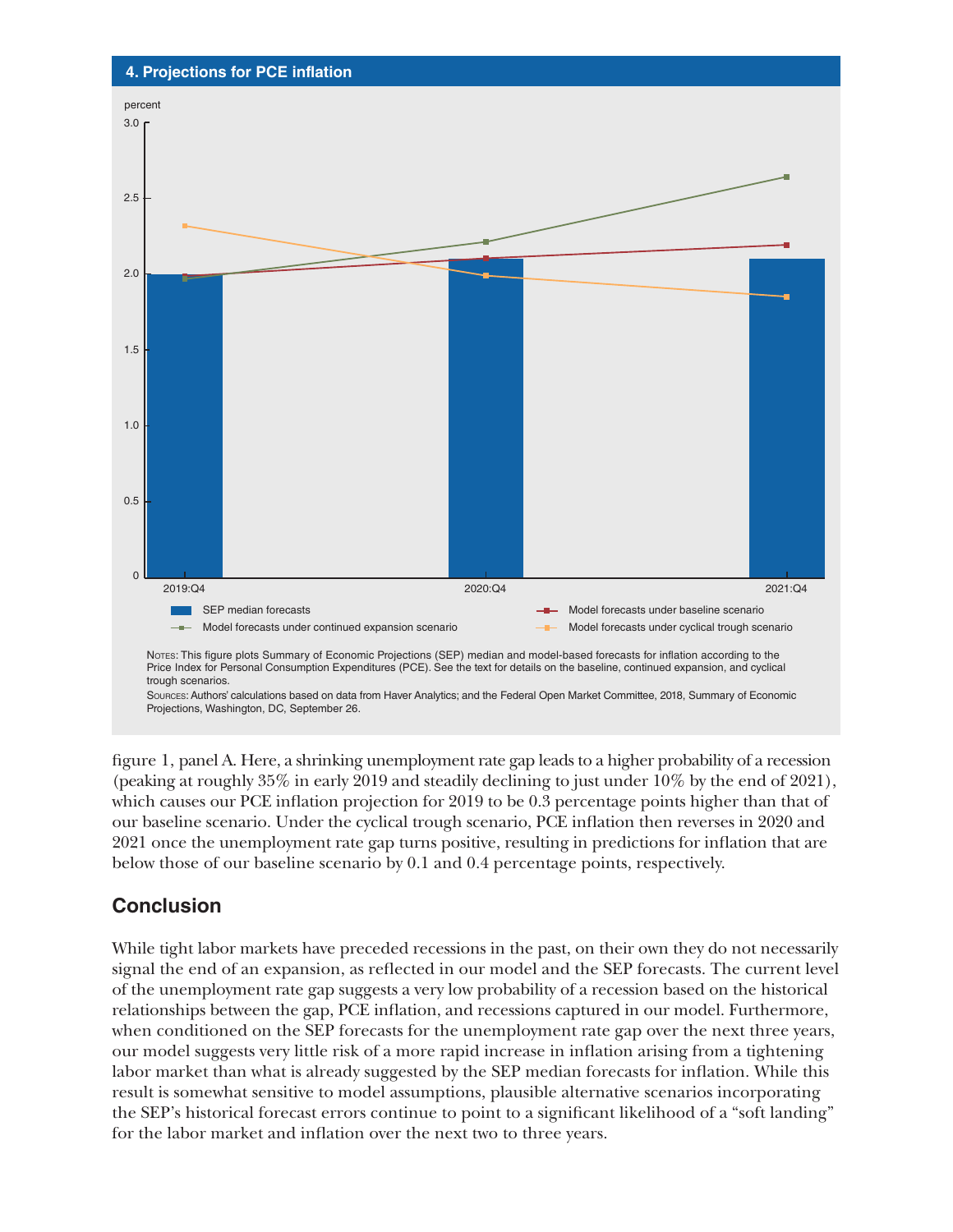

figure 1, panel A. Here, a shrinking unemployment rate gap leads to a higher probability of a recession (peaking at roughly 35% in early 2019 and steadily declining to just under 10% by the end of 2021), which causes our PCE inflation projection for 2019 to be 0.3 percentage points higher than that of our baseline scenario. Under the cyclical trough scenario, PCE inflation then reverses in 2020 and 2021 once the unemployment rate gap turns positive, resulting in predictions for inflation that are below those of our baseline scenario by 0.1 and 0.4 percentage points, respectively.

## **Conclusion**

While tight labor markets have preceded recessions in the past, on their own they do not necessarily signal the end of an expansion, as reflected in our model and the SEP forecasts. The current level of the unemployment rate gap suggests a very low probability of a recession based on the historical relationships between the gap, PCE inflation, and recessions captured in our model. Furthermore, when conditioned on the SEP forecasts for the unemployment rate gap over the next three years, our model suggests very little risk of a more rapid increase in inflation arising from a tightening labor market than what is already suggested by the SEP median forecasts for inflation. While this result is somewhat sensitive to model assumptions, plausible alternative scenarios incorporating the SEP's historical forecast errors continue to point to a significant likelihood of a "soft landing" for the labor market and inflation over the next two to three years.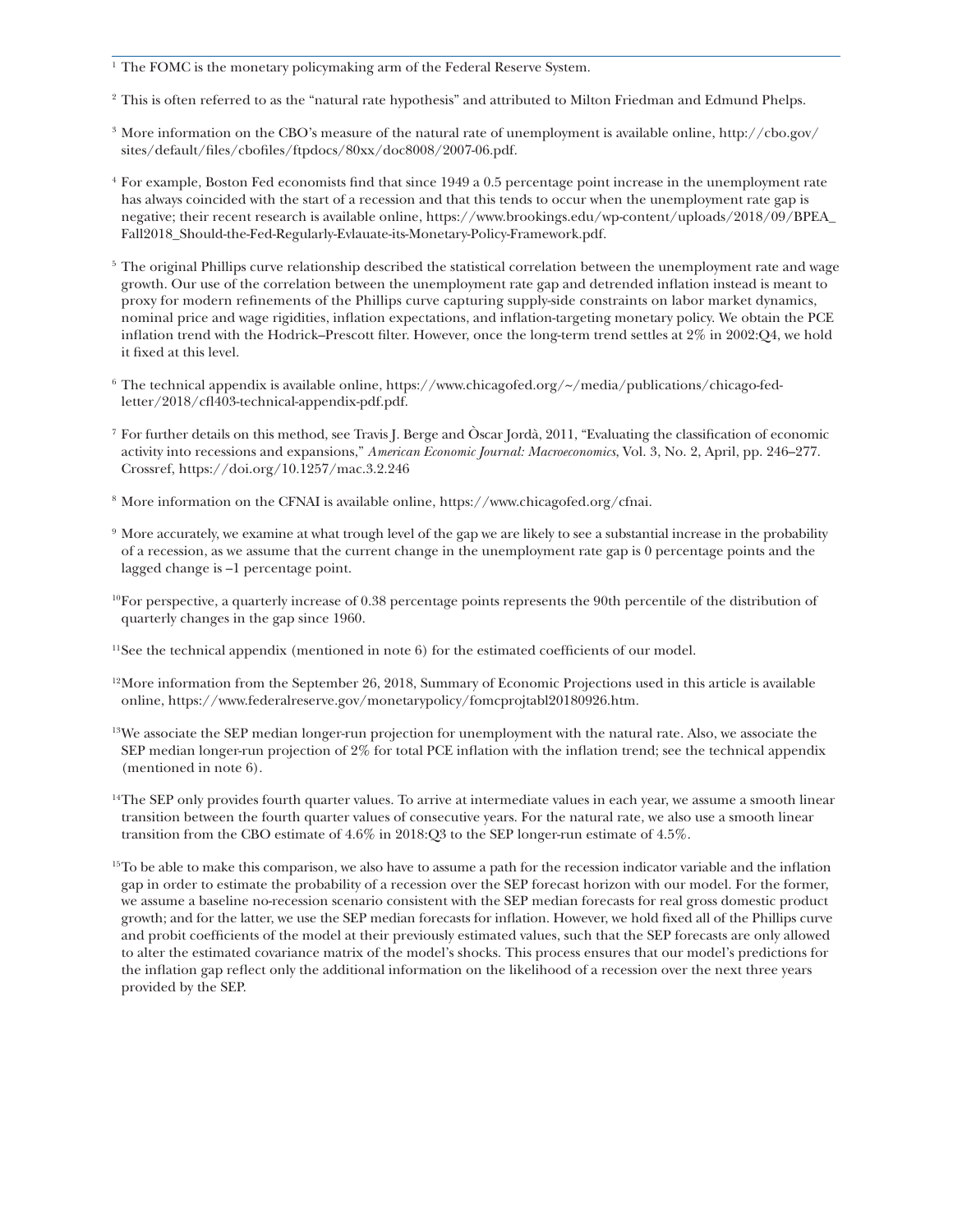<sup>1</sup> The FOMC is the monetary policymaking arm of the Federal Reserve System.

- <sup>2</sup> This is often referred to as the "natural rate hypothesis" and attributed to Milton Friedman and Edmund Phelps.
- <sup>3</sup> More information on the CBO's measure of the natural rate of unemployment is available online, [http://cbo.gov/](http://cbo.gov/sites/default/files/cbofiles/ftpdocs/80xx/doc8008/2007-06.pdf) [sites/default/files/cbofiles/ftpdocs/80xx/doc8008/2007-06.pdf](http://cbo.gov/sites/default/files/cbofiles/ftpdocs/80xx/doc8008/2007-06.pdf).
- <sup>4</sup> For example, Boston Fed economists find that since 1949 a 0.5 percentage point increase in the unemployment rate has always coincided with the start of a recession and that this tends to occur when the unemployment rate gap is negative; their recent research is available online, [https://www.brookings.edu/wp-content/uploads/2018/09/BPEA\\_](https://www.brookings.edu/wp-content/uploads/2018/09/BPEA_Fall2018_Should-the-Fed-Regularly-Evlauate-its-Monetary-Policy-Framework.pdf) [Fall2018\\_Should-the-Fed-Regularly-Evlauate-its-Monetary-Policy-Framework.pdf.](https://www.brookings.edu/wp-content/uploads/2018/09/BPEA_Fall2018_Should-the-Fed-Regularly-Evlauate-its-Monetary-Policy-Framework.pdf)
- $5$  The original Phillips curve relationship described the statistical correlation between the unemployment rate and wage growth. Our use of the correlation between the unemployment rate gap and detrended inflation instead is meant to proxy for modern refinements of the Phillips curve capturing supply-side constraints on labor market dynamics, nominal price and wage rigidities, inflation expectations, and inflation-targeting monetary policy. We obtain the PCE inflation trend with the Hodrick–Prescott filter. However, once the long-term trend settles at 2% in 2002:Q4, we hold it fixed at this level.
- $6$  The technical appendix is available online, [https://www.chicagofed.org/~/media/publications/chicago-fed](https://www.chicagofed.org/~/media/publications/chicago-fed-letter/2018/cfl403-technical-appendix-pdf.pdf)[letter/2018/cfl403-technical-appendix-pdf.pdf](https://www.chicagofed.org/~/media/publications/chicago-fed-letter/2018/cfl403-technical-appendix-pdf.pdf).
- <sup>7</sup> For further details on this method, see Travis J. Berge and Òscar Jordà, 2011, "Evaluating the classification of economic activity into recessions and expansions," *American Economic Journal: Macroeconomics*, Vol. 3, No. 2, April, pp. 246–277. Crossref, <https://doi.org/10.1257/mac.3.2.246>
- <sup>8</sup> More information on the CFNAI is available online, [https://www.chicagofed.org/cfnai.](https://www.chicagofed.org/cfnai)
- <sup>9</sup> More accurately, we examine at what trough level of the gap we are likely to see a substantial increase in the probability of a recession, as we assume that the current change in the unemployment rate gap is 0 percentage points and the lagged change is –1 percentage point.
- $10$ For perspective, a quarterly increase of 0.38 percentage points represents the 90th percentile of the distribution of quarterly changes in the gap since 1960.
- $11$ See the technical appendix (mentioned in note 6) for the estimated coefficients of our model.
- $12$ More information from the September 26, 2018, Summary of Economic Projections used in this article is available online,<https://www.federalreserve.gov/monetarypolicy/fomcprojtabl20180926.htm>.
- <sup>13</sup>We associate the SEP median longer-run projection for unemployment with the natural rate. Also, we associate the SEP median longer-run projection of 2% for total PCE inflation with the inflation trend; see the technical appendix (mentioned in note 6).
- $14$ The SEP only provides fourth quarter values. To arrive at intermediate values in each year, we assume a smooth linear transition between the fourth quarter values of consecutive years. For the natural rate, we also use a smooth linear transition from the CBO estimate of 4.6% in 2018:Q3 to the SEP longer-run estimate of 4.5%.
- <sup>15</sup>To be able to make this comparison, we also have to assume a path for the recession indicator variable and the inflation gap in order to estimate the probability of a recession over the SEP forecast horizon with our model. For the former, we assume a baseline no-recession scenario consistent with the SEP median forecasts for real gross domestic product growth; and for the latter, we use the SEP median forecasts for inflation. However, we hold fixed all of the Phillips curve and probit coefficients of the model at their previously estimated values, such that the SEP forecasts are only allowed to alter the estimated covariance matrix of the model's shocks. This process ensures that our model's predictions for the inflation gap reflect only the additional information on the likelihood of a recession over the next three years provided by the SEP.